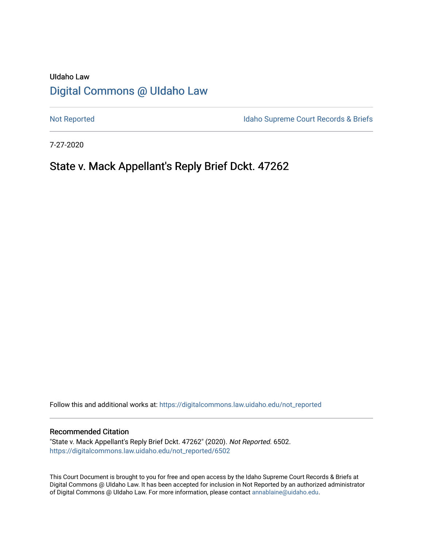# UIdaho Law [Digital Commons @ UIdaho Law](https://digitalcommons.law.uidaho.edu/)

[Not Reported](https://digitalcommons.law.uidaho.edu/not_reported) **Idaho Supreme Court Records & Briefs** 

7-27-2020

# State v. Mack Appellant's Reply Brief Dckt. 47262

Follow this and additional works at: [https://digitalcommons.law.uidaho.edu/not\\_reported](https://digitalcommons.law.uidaho.edu/not_reported?utm_source=digitalcommons.law.uidaho.edu%2Fnot_reported%2F6502&utm_medium=PDF&utm_campaign=PDFCoverPages) 

#### Recommended Citation

"State v. Mack Appellant's Reply Brief Dckt. 47262" (2020). Not Reported. 6502. [https://digitalcommons.law.uidaho.edu/not\\_reported/6502](https://digitalcommons.law.uidaho.edu/not_reported/6502?utm_source=digitalcommons.law.uidaho.edu%2Fnot_reported%2F6502&utm_medium=PDF&utm_campaign=PDFCoverPages)

This Court Document is brought to you for free and open access by the Idaho Supreme Court Records & Briefs at Digital Commons @ UIdaho Law. It has been accepted for inclusion in Not Reported by an authorized administrator of Digital Commons @ UIdaho Law. For more information, please contact [annablaine@uidaho.edu](mailto:annablaine@uidaho.edu).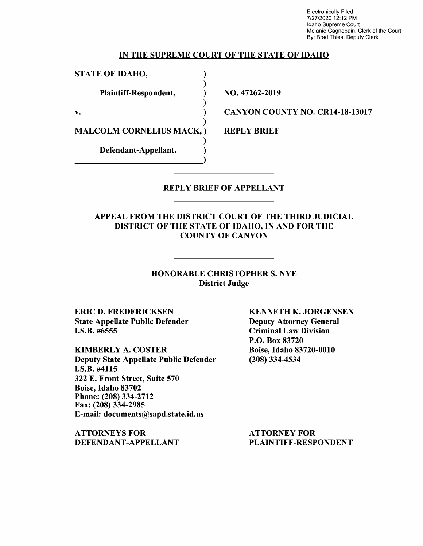Electronically Filed 7/27/2020 12:12 PM Idaho Supreme Court Melanie Gagnepain, Clerk of the Court By: Brad Thies, Deputy Clerk

#### IN THE SUPREME COURT OF THE STATE OF IDAHO

)

)

)

)

STATE OF IDAHO,

Plaintiff-Respondent, (a)

 $\mathbf{v.}$  )

MALCOLM CORNELIUS MACK, )

Defendant-Appellant.

NO. 47262-2019

CANYON COUNTY NO. CR14-18-13017

REPLY BRIEF

#### REPLY BRIEF OF APPELLANT

## APPEAL FROM THE DISTRICT COURT OF THE THIRD JUDICIAL DISTRICT OF THE STATE OF IDAHO, IN AND FOR THE COUNTY OF CANYON

## HONORABLE CHRISTOPHER S. NYE District Judge

ERIC D. FREDERICKSEN State Appellate Public Defender I.S.B. #6555

KIMBERLY A. COSTER Deputy State Appellate Public Defender I.S.B. #4115 322 E. Front Street, Suite 570 Boise, Idaho 83702 Phone:(208)334-2712 Fax: (208) 334-2985 E-mail: documents@sapd.state.id.us

**ATTORNEYS FOR DEFENDANT-APPELLANT**  **KENNETH K. JORGENSEN**  Deputy Attorney General Criminal Law Division P.O. Box 83720 Boise, Idaho 83720-0010 (208) 334-4534

ATTORNEY FOR PLAINTIFF-RESPONDENT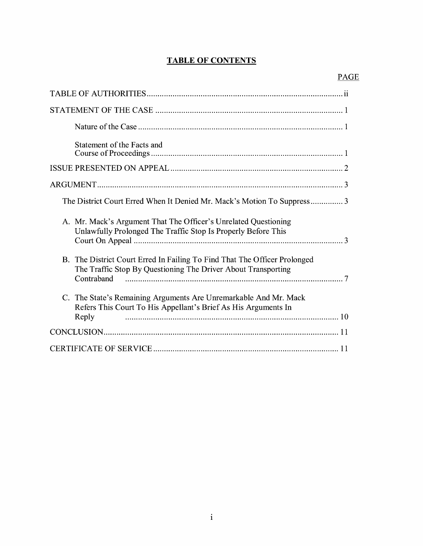# **TABLE OF CONTENTS**

| Statement of the Facts and                                                                                                                               |
|----------------------------------------------------------------------------------------------------------------------------------------------------------|
|                                                                                                                                                          |
|                                                                                                                                                          |
| The District Court Erred When It Denied Mr. Mack's Motion To Suppress3                                                                                   |
| A. Mr. Mack's Argument That The Officer's Unrelated Questioning<br>Unlawfully Prolonged The Traffic Stop Is Properly Before This                         |
| B. The District Court Erred In Failing To Find That The Officer Prolonged<br>The Traffic Stop By Questioning The Driver About Transporting<br>Contraband |
| C. The State's Remaining Arguments Are Unremarkable And Mr. Mack<br>Refers This Court To His Appellant's Brief As His Arguments In<br>Reply              |
|                                                                                                                                                          |
|                                                                                                                                                          |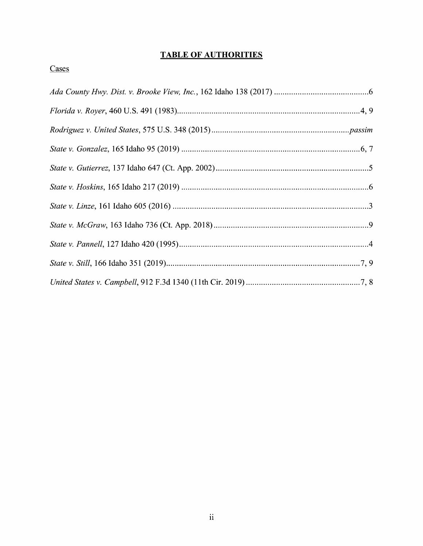## **TABLE OF AUTHORITIES**

## Cases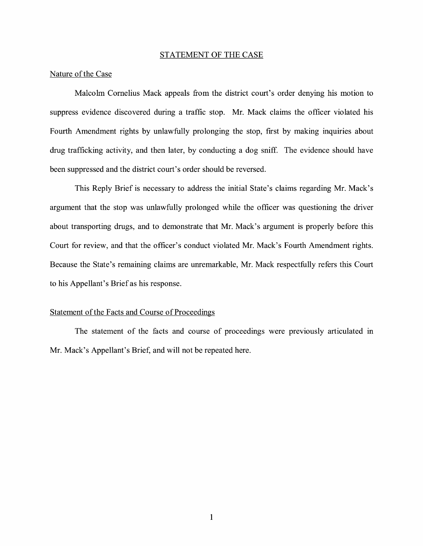#### STATEMENT OF THE CASE

#### Nature of the Case

Malcolm Cornelius Mack appeals from the district court's order denying his motion to suppress evidence discovered during a traffic stop. Mr. Mack claims the officer violated his Fourth Amendment rights by unlawfully prolonging the stop, first by making inquiries about drug trafficking activity, and then later, by conducting a dog sniff. The evidence should have been suppressed and the district court's order should be reversed.

This Reply Brief is necessary to address the initial State's claims regarding Mr. Mack's argument that the stop was unlawfully prolonged while the officer was questioning the driver about transporting drugs, and to demonstrate that Mr. Mack's argument is properly before this Court for review, and that the officer's conduct violated Mr. Mack's Fourth Amendment rights. Because the State's remaining claims are unremarkable, Mr. Mack respectfully refers this Court to his Appellant's Brief as his response.

#### Statement of the Facts and Course of Proceedings

The statement of the facts and course of proceedings were previously articulated in Mr. Mack's Appellant's Brief, and will not be repeated here.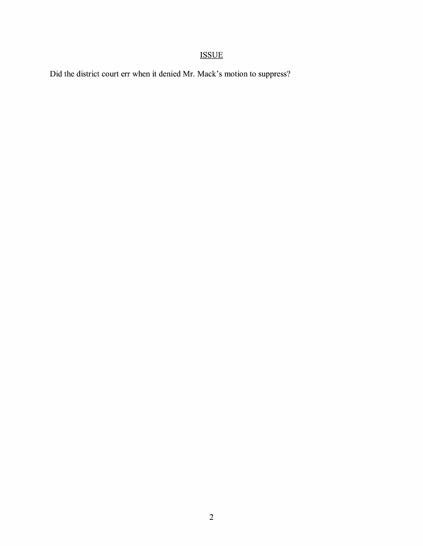# ISSUE

Did the district court err when it denied Mr. Mack's motion to suppress?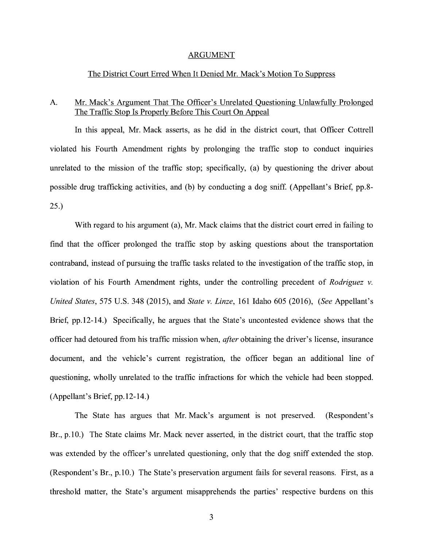#### ARGUMENT

#### The District Court Erred When It Denied Mr. Mack's Motion To Suppress

## A. Mr. Mack's Argument That The Officer's Unrelated Questioning Unlawfully Prolonged The Traffic Stop Is Properly Before This Court On Appeal

In this appeal, Mr. Mack asserts, as he did in the district court, that Officer Cottrell violated his Fourth Amendment rights by prolonging the traffic stop to conduct inquiries unrelated to the mission of the traffic stop; specifically, (a) by questioning the driver about possible drug trafficking activities, and (b) by conducting a dog sniff (Appellant's Brief, pp.8- 25.)

With regard to his argument (a), Mr. Mack claims that the district court erred in failing to find that the officer prolonged the traffic stop by asking questions about the transportation contraband, instead of pursuing the traffic tasks related to the investigation of the traffic stop, in violation of his Fourth Amendment rights, under the controlling precedent of *Rodriguez v. United States,* 575 U.S. 348 (2015), and *State v. Linze,* 161 Idaho 605 (2016), *(See* Appellant's Brief, pp.12-14.) Specifically, he argues that the State's uncontested evidence shows that the officer had detoured from his traffic mission when, *after* obtaining the driver's license, insurance document, and the vehicle's current registration, the officer began an additional line of questioning, wholly unrelated to the traffic infractions for which the vehicle had been stopped. (Appellant's Brief, pp.12-14.)

The State has argues that Mr. Mack's argument is not preserved. (Respondent's Br., p.10.) The State claims Mr. Mack never asserted, in the district court, that the traffic stop was extended by the officer's unrelated questioning, only that the dog sniff extended the stop. (Respondent's Br., p.10.) The State's preservation argument fails for several reasons. First, as a threshold matter, the State's argument misapprehends the parties' respective burdens on this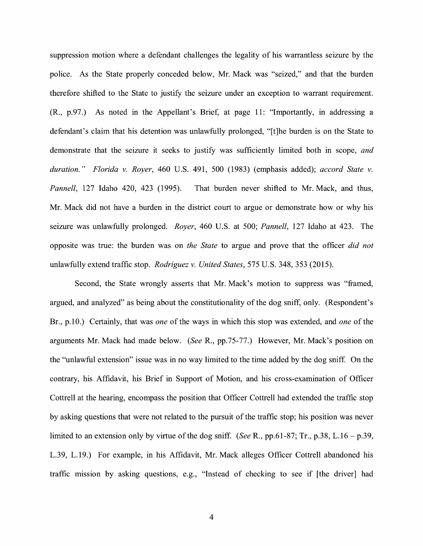suppression motion where a defendant challenges the legality of his warrantless seizure by the police. As the State properly conceded below, Mr. Mack was "seized," and that the burden therefore shifted to the State to justify the seizure under an exception to warrant requirement. (R., p.97.) As noted in the Appellant's Brief, at page 11: "Importantly, in addressing a defendant's claim that his detention was unlawfully prolonged, "[t]he burden is on the State to demonstrate that the seizure it seeks to justify was sufficiently limited both in scope, *and duration." Florida v. Royer,* 460 U.S. 491, 500 (1983) (emphasis added); *accord State v. Pannell,* 127 Idaho 420, 423 (1995). That burden never shifted to Mr. Mack, and thus, Mr. Mack did not have a burden in the district court to argue or demonstrate how or why his seizure was unlawfully prolonged. *Royer,* 460 U.S. at 500; *Pannell,* 127 Idaho at 423. The opposite was true: the burden was on *the State* to argue and prove that the officer *did not*  unlawfully extend traffic stop. *Rodriguez v. United States,* 575 U.S. 348, 353 (2015).

Second, the State wrongly asserts that Mr. Mack's motion to suppress was "framed, argued, and analyzed" as being about the constitutionality of the dog sniff, only. (Respondent's Br., p.10.) Certainly, that was *one* of the ways in which this stop was extended, and *one* of the arguments Mr. Mack had made below. *(See* R., pp.75-77.) However, Mr. Mack's position on the "unlawful extension" issue was in no way limited to the time added by the dog sniff. On the contrary, his Affidavit, his Brief in Support of Motion, and his cross-examination of Officer Cottrell at the hearing, encompass the position that Officer Cottrell had extended the traffic stop by asking questions that were not related to the pursuit of the traffic stop; his position was never limited to an extension only by virtue of the dog sniff. *(See* R., pp.61-87; Tr., p.38, L.16 - p.39, L.39, L.19.) For example, in his Affidavit, Mr. Mack alleges Officer Cottrell abandoned his traffic mission by asking questions, e.g., "Instead of checking to see if [the driver] had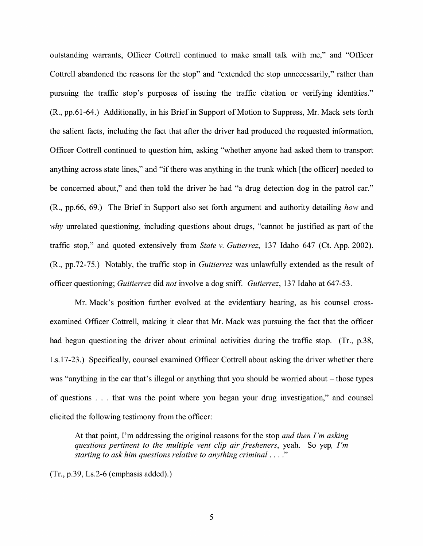outstanding warrants, Officer Cottrell continued to make small talk with me," and "Officer Cottrell abandoned the reasons for the stop" and "extended the stop unnecessarily," rather than pursuing the traffic stop's purposes of issuing the traffic citation or verifying identities." (R., pp.61-64.) Additionally, in his Brief in Support of Motion to Suppress, Mr. Mack sets forth the salient facts, including the fact that after the driver had produced the requested information, Officer Cottrell continued to question him, asking "whether anyone had asked them to transport anything across state lines," and "if there was anything in the trunk which [the officer] needed to be concerned about," and then told the driver he had "a drug detection dog in the patrol car." (R., pp.66, 69.) The Brief in Support also set forth argument and authority detailing *how* and *why* unrelated questioning, including questions about drugs, "cannot be justified as part of the traffic stop," and quoted extensively from *State v. Gutierrez,* 137 Idaho 647 (Ct. App. 2002). (R., pp.72-75.) Notably, the traffic stop in *Guitierrez* was unlawfully extended as the result of officer questioning; *Guitierrez* did *not* involve a dog sniff. *Gutierrez,* 137 Idaho at 647-53.

Mr. Mack's position further evolved at the evidentiary hearing, as his counsel crossexamined Officer Cottrell, making it clear that Mr. Mack was pursuing the fact that the officer had begun questioning the driver about criminal activities during the traffic stop. (Tr., p.38, Ls.17-23.) Specifically, counsel examined Officer Cottrell about asking the driver whether there was "anything in the car that's illegal or anything that you should be worried about – those types of questions ... that was the point where you began your drug investigation," and counsel elicited the following testimony from the officer:

At that point, I'm addressing the original reasons for the stop *and then I'm asking questions pertinent to the multiple vent clip air fresheners,* yeah. So yep, *I'm starting to ask him questions relative to anything criminal .* ... "

(Tr., p.39, Ls.2-6 (emphasis added).)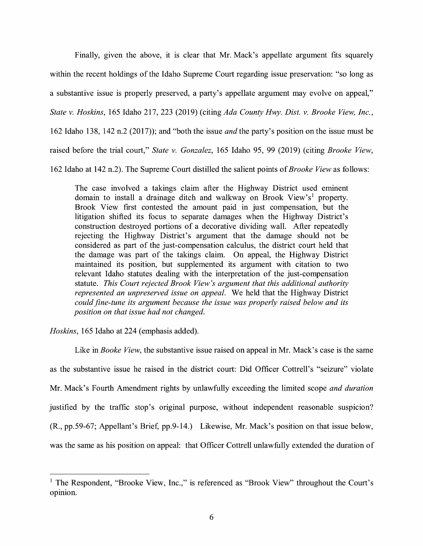Finally, given the above, it is clear that Mr. Mack's appellate argument fits squarely within the recent holdings of the Idaho Supreme Court regarding issue preservation: "so long as a substantive issue is properly preserved, a party's appellate argument may evolve on appeal,"

*State v. Hoskins,* 165 Idaho 217, 223 (2019) (citing *Ada County Hwy. Dist. v. Brooke View, Inc.,* 

162 Idaho 13 8, 142 n.2 (2017) ); and "both the issue *and* the party's position on the issue must be

raised before the trial court," *State v. Gonzalez,* 165 Idaho 95, 99 (2019) (citing *Brooke View,* 

162 Idaho at 142 n.2). The Supreme Court distilled the salient points of *Brooke View* as follows:

The case involved a takings claim after the Highway District used eminent domain to install a drainage ditch and walkway on Brook View's<sup>1</sup> property. Brook View first contested the amount paid in just compensation, but the litigation shifted its focus to separate damages when the Highway District's construction destroyed portions of a decorative dividing wall. After repeatedly rejecting the Highway District's argument that the damage should not be considered as part of the just-compensation calculus, the district court held that the damage was part of the takings claim. On appeal, the Highway District maintained its position, but supplemented its argument with citation to two relevant Idaho statutes dealing with the interpretation of the just-compensation statute. *This Court rejected Brook View's argument that this additional authority represented an unpreserved issue on appeal.* We held that the Highway District *could fine-tune its argument because the issue was properly raised below and its position on that issue had not changed.* 

*Hoskins,* 165 Idaho at 224 (emphasis added).

Like in *Booke View*, the substantive issue raised on appeal in Mr. Mack's case is the same as the substantive issue he raised in the district court: Did Officer Cottrell's "seizure" violate Mr. Mack's Fourth Amendment rights by unlawfully exceeding the limited scope *and duration*  justified by the traffic stop's original purpose, without independent reasonable suspicion? (R., pp.59-67; Appellant's Brief, pp.9-14.) Likewise, Mr. Mack's position on that issue below, was the same as his position on appeal: that Officer Cottrell unlawfully extended the duration of

<sup>&</sup>lt;sup>1</sup> The Respondent, "Brooke View, Inc.," is referenced as "Brook View" throughout the Court's opinion.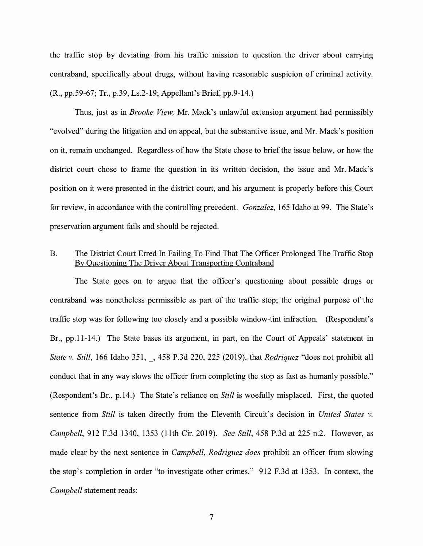the traffic stop by deviating from his traffic mission to question the driver about carrying contraband, specifically about drugs, without having reasonable suspicion of criminal activity. (R., pp.59-67; Tr., p.39, Ls.2-19; Appellant's Brief, pp.9-14.)

Thus, just as in *Brooke View,* Mr. Mack's unlawful extension argument had permissibly "evolved" during the litigation and on appeal, but the substantive issue, and Mr. Mack's position on it, remain unchanged. Regardless of how the State chose to brief the issue below, or how the district court chose to frame the question in its written decision, the issue and Mr. Mack's position on it were presented in the district court, and his argument is properly before this Court for review, in accordance with the controlling precedent. *Gonzalez,* 165 Idaho at 99. The State's preservation argument fails and should be rejected.

#### B. The District Court Erred In Failing To Find That The Officer Prolonged The Traffic Stop By Questioning The Driver About Transporting Contraband

The State goes on to argue that the officer's questioning about possible drugs or contraband was nonetheless permissible as part of the traffic stop; the original purpose of the traffic stop was for following too closely and a possible window-tint infraction. (Respondent's Br., pp.11-14.) The State bases its argument, in part, on the Court of Appeals' statement in *State v. Still,* 166 Idaho 351, \_, 458 P.3d 220, 225 (2019), that *Rodriquez* "does not prohibit all conduct that in any way slows the officer from completing the stop as fast as humanly possible." (Respondent's Br., p.14.) The State's reliance on *Still* is woefully misplaced. First, the quoted sentence from *Still* is taken directly from the Eleventh Circuit's decision in *United States v. Campbell,* 912 F.3d 1340, 1353 (11th Cir. 2019). *See Still,* 458 P.3d at 225 n.2. However, as made clear by the next sentence in *Campbell, Rodriguez does* prohibit an officer from slowing the stop's completion in order "to investigate other crimes." 912 F.3d at 1353. In context, the *Campbell* statement reads: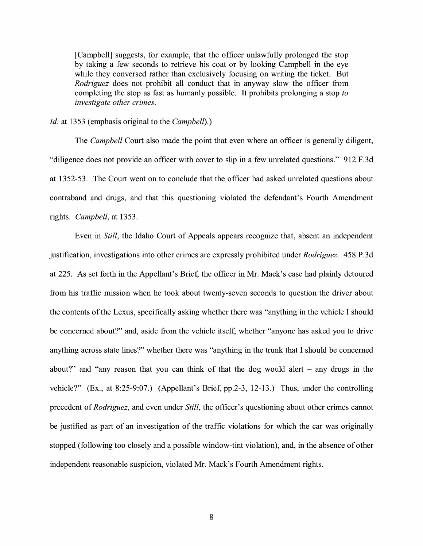[Campbell] suggests, for example, that the officer unlawfully prolonged the stop by taking a few seconds to retrieve his coat or by looking Campbell in the eye while they conversed rather than exclusively focusing on writing the ticket. But *Rodriguez* does not prohibit all conduct that in anyway slow the officer from completing the stop as fast as humanly possible. It prohibits prolonging a stop *to investigate other crimes.* 

#### *Id.* at 1353 (emphasis original to the *Campbell).)*

The *Campbell* Court also made the point that even where an officer is generally diligent, "diligence does not provide an officer with cover to slip in a few unrelated questions." 912 F.3d at 1352-53. The Court went on to conclude that the officer had asked unrelated questions about contraband and drugs, and that this questioning violated the defendant's Fourth Amendment rights. *Campbell,* at 1353.

Even in *Still,* the Idaho Court of Appeals appears recognize that, absent an independent justification, investigations into other crimes are expressly prohibited under *Rodriguez.* 458 P.3d at 225. As set forth in the Appellant's Brief, the officer in Mr. Mack's case had plainly detoured from his traffic mission when he took about twenty-seven seconds to question the driver about the contents of the Lexus, specifically asking whether there was "anything in the vehicle I should be concerned about?" and, aside from the vehicle itself, whether "anyone has asked you to drive anything across state lines?" whether there was "anything in the trunk that I should be concerned about?" and "any reason that you can think of that the dog would alert  $-$  any drugs in the vehicle?" (Ex., at 8:25-9:07.) (Appellant's Brief, pp.2-3, 12-13.) Thus, under the controlling precedent of *Rodriguez,* and even under *Still,* the officer's questioning about other crimes cannot be justified as part of an investigation of the traffic violations for which the car was originally stopped (following too closely and a possible window-tint violation), and, in the absence of other independent reasonable suspicion, violated Mr. Mack's Fourth Amendment rights.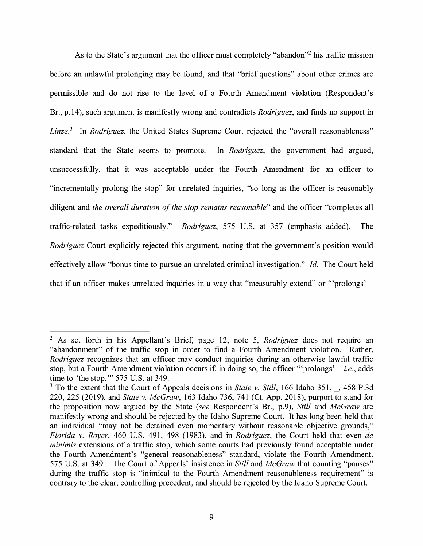As to the State's argument that the officer must completely "abandon"<sup>2</sup> his traffic mission before an unlawful prolonging may be found, and that "brief questions" about other crimes are permissible and do not rise to the level of a Fourth Amendment violation (Respondent's Br., p.14), such argument is manifestly wrong and contradicts *Rodriguez,* and finds no support in *Linze.*<sup>3</sup> In *Rodriguez*, the United States Supreme Court rejected the "overall reasonableness" standard that the State seems to promote. In *Rodriguez,* the government had argued, unsuccessfully, that it was acceptable under the Fourth Amendment for an officer to "incrementally prolong the stop" for unrelated inquiries, "so long as the officer is reasonably diligent and *the overall duration of the stop remains reasonable"* and the officer "completes all traffic-related tasks expeditiously." *Rodriguez*, 575 U.S. at 357 (emphasis added). The *Rodriguez* Court explicitly rejected this argument, noting that the government's position would effectively allow "bonus time to pursue an unrelated criminal investigation." *Id.* The Court held that if an officer makes unrelated inquiries in a way that "measurably extend" or "'prolongs' –

<sup>2</sup>As set forth in his Appellant's Brief, page 12, note 5, *Rodriguez* does not require an "abandonment" of the traffic stop in order to find a Fourth Amendment violation. Rather, *Rodriguez* recognizes that an officer may conduct inquiries during an otherwise lawful traffic stop, but a Fourth Amendment violation occurs if, in doing so, the officer '"prolongs' - *i.e.,* adds time to-'the stop."' 575 U.S. at 349.

<sup>&</sup>lt;sup>3</sup> To the extent that the Court of Appeals decisions in *State v. Still*, 166 Idaho 351, 458 P.3d 220, 225 (2019), and *State v. McGraw,* 163 Idaho 736, 741 (Ct. App. 2018), purport to stand for the proposition now argued by the State *(see* Respondent's Br., p.9), *Still* and *McGraw* are manifestly wrong and should be rejected by the Idaho Supreme Court. It has long been held that an individual "may not be detained even momentary without reasonable objective grounds," *Florida v. Royer,* 460 U.S. 491, 498 (1983), and in *Rodriguez,* the Court held that even *de minimis* extensions of a traffic stop, which some courts had previously found acceptable under the Fourth Amendment's "general reasonableness" standard, violate the Fourth Amendment. 575 U.S. at 349. The Court of Appeals' insistence in *Still* and *McGraw* that counting "pauses" during the traffic stop is "inimical to the Fourth Amendment reasonableness requirement" is contrary to the clear, controlling precedent, and should be rejected by the Idaho Supreme Court.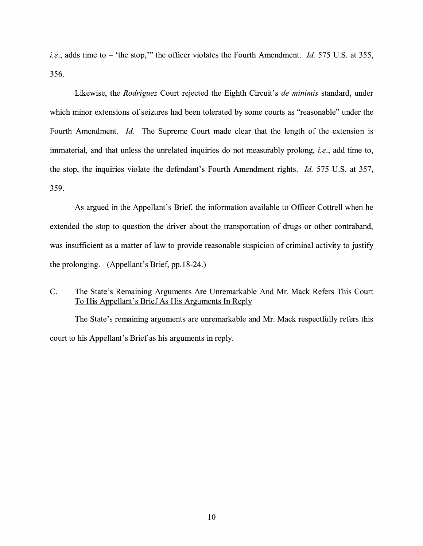*i.e.*, adds time to – 'the stop,'" the officer violates the Fourth Amendment. *Id.* 575 U.S. at 355, 356.

Likewise, the *Rodriguez* Court rejected the Eighth Circuit's *de minimis* standard, under which minor extensions of seizures had been tolerated by some courts as "reasonable" under the Fourth Amendment. *Id.* The Supreme Court made clear that the length of the extension is immaterial, and that unless the unrelated inquiries do not measurably prolong, *i.e.,* add time to, the stop, the inquiries violate the defendant's Fourth Amendment rights. *Id.* 575 U.S. at 357, 359.

As argued in the Appellant's Brief, the information available to Officer Cottrell when he extended the stop to question the driver about the transportation of drugs or other contraband, was insufficient as a matter of law to provide reasonable suspicion of criminal activity to justify the prolonging. (Appellant's Brief, pp.18-24.)

## C. The State's Remaining Arguments Are Unremarkable And Mr. Mack Refers This Court To His Appellant's Brief As His Arguments In Reply

The State's remaining arguments are unremarkable and Mr. Mack respectfully refers this court to his Appellant's Brief as his arguments in reply.